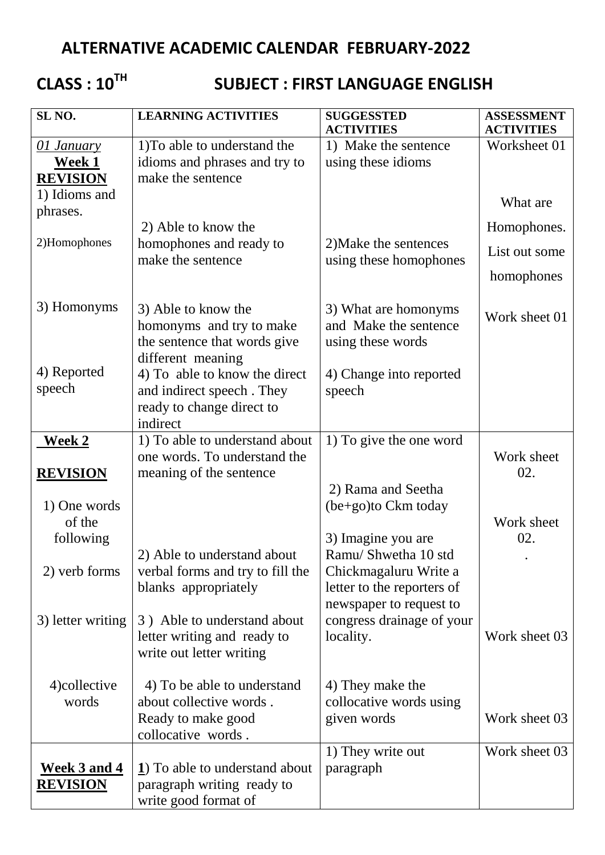# **ALTERNATIVE ACADEMIC CALENDAR FEBRUARY-2022**

**CLASS : 10TH**

## **SUBJECT : FIRST LANGUAGE ENGLISH**

| SL <sub>NO</sub> .  | <b>LEARNING ACTIVITIES</b>                               | <b>SUGGESSTED</b><br><b>ACTIVITIES</b>              | <b>ASSESSMENT</b><br><b>ACTIVITIES</b> |
|---------------------|----------------------------------------------------------|-----------------------------------------------------|----------------------------------------|
| 01 January          | 1) To able to understand the                             | 1) Make the sentence                                | Worksheet 01                           |
| <b>Week 1</b>       | idioms and phrases and try to                            | using these idioms                                  |                                        |
| <b>REVISION</b>     | make the sentence                                        |                                                     |                                        |
| 1) Idioms and       |                                                          |                                                     | What are                               |
| phrases.            |                                                          |                                                     |                                        |
|                     | 2) Able to know the                                      |                                                     | Homophones.                            |
| 2)Homophones        | homophones and ready to                                  | 2) Make the sentences                               | List out some                          |
|                     | make the sentence                                        | using these homophones                              |                                        |
|                     |                                                          |                                                     | homophones                             |
| 3) Homonyms         | 3) Able to know the                                      | 3) What are homonyms                                |                                        |
|                     | homonyms and try to make                                 | and Make the sentence                               | Work sheet 01                          |
|                     | the sentence that words give                             | using these words                                   |                                        |
|                     | different meaning                                        |                                                     |                                        |
| 4) Reported         | 4) To able to know the direct                            | 4) Change into reported                             |                                        |
| speech              | and indirect speech. They                                | speech                                              |                                        |
|                     | ready to change direct to                                |                                                     |                                        |
|                     | indirect                                                 |                                                     |                                        |
| <b>Week 2</b>       | 1) To able to understand about                           | 1) To give the one word                             |                                        |
|                     | one words. To understand the                             |                                                     | Work sheet                             |
| <b>REVISION</b>     | meaning of the sentence                                  |                                                     | 02.                                    |
|                     |                                                          | 2) Rama and Seetha                                  |                                        |
| 1) One words        |                                                          | (be+go)to Ckm today                                 |                                        |
| of the              |                                                          |                                                     | Work sheet                             |
| following           |                                                          | 3) Imagine you are                                  | 02.                                    |
|                     | 2) Able to understand about                              | Ramu/ Shwetha 10 std                                |                                        |
| 2) verb forms       | verbal forms and try to fill the<br>blanks appropriately | Chickmagaluru Write a<br>letter to the reporters of |                                        |
|                     |                                                          | newspaper to request to                             |                                        |
| 3) letter writing   | 3) Able to understand about                              | congress drainage of your                           |                                        |
|                     | letter writing and ready to                              | locality.                                           | Work sheet 03                          |
|                     | write out letter writing                                 |                                                     |                                        |
|                     |                                                          |                                                     |                                        |
| 4) collective       | 4) To be able to understand                              | 4) They make the                                    |                                        |
| words               | about collective words.                                  | collocative words using                             |                                        |
|                     | Ready to make good                                       | given words                                         | Work sheet 03                          |
|                     | collocative words.                                       |                                                     |                                        |
|                     |                                                          | 1) They write out                                   | Work sheet 03                          |
| <u>Week 3 and 4</u> | 1) To able to understand about                           | paragraph                                           |                                        |
| <b>REVISION</b>     | paragraph writing ready to                               |                                                     |                                        |
|                     | write good format of                                     |                                                     |                                        |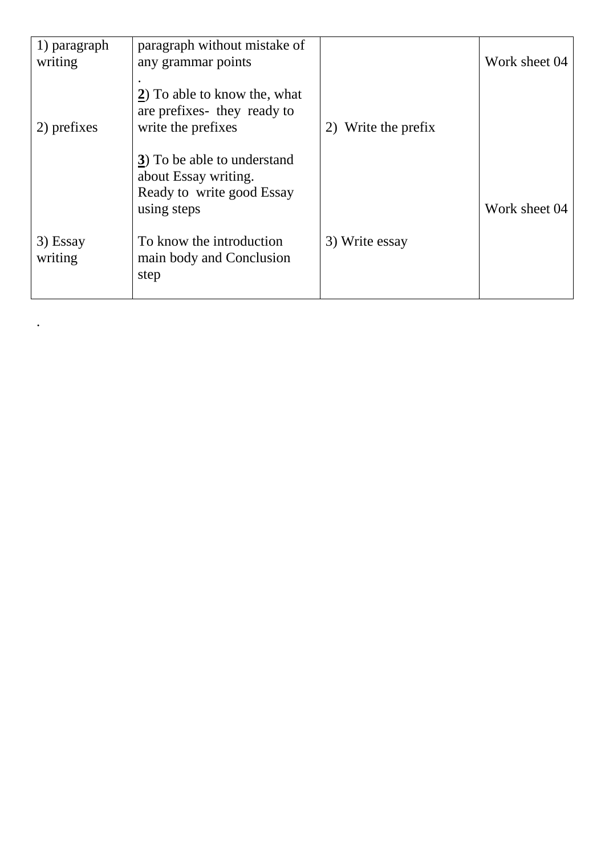| 1) paragraph        | paragraph without mistake of                                                                    |                     |               |
|---------------------|-------------------------------------------------------------------------------------------------|---------------------|---------------|
| writing             | any grammar points                                                                              |                     | Work sheet 04 |
| 2) prefixes         | 2) To able to know the, what<br>are prefixes they ready to<br>write the prefixes                | 2) Write the prefix |               |
|                     | 3) To be able to understand<br>about Essay writing.<br>Ready to write good Essay<br>using steps |                     | Work sheet 04 |
| 3) Essay<br>writing | To know the introduction<br>main body and Conclusion<br>step                                    | 3) Write essay      |               |

.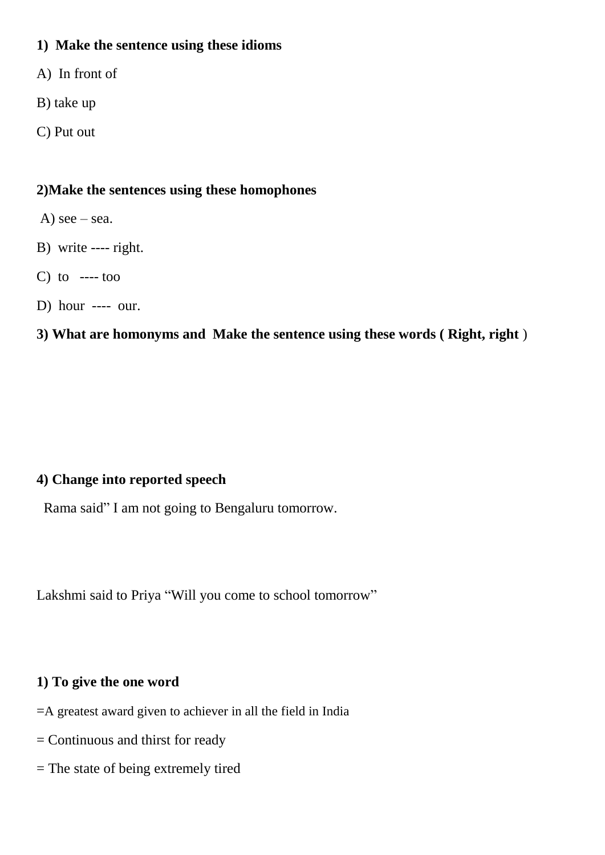#### **1) Make the sentence using these idioms**

- A) In front of
- B) take up
- C) Put out

### **2)Make the sentences using these homophones**

- A)  $\text{see} \text{sea}$ .
- B) write ---- right.
- C) to  $---$  too
- D) hour ---- our.

## **3) What are homonyms and Make the sentence using these words ( Right, right** )

### **4) Change into reported speech**

Rama said" I am not going to Bengaluru tomorrow.

Lakshmi said to Priya "Will you come to school tomorrow"

#### **1) To give the one word**

- =A greatest award given to achiever in all the field in India
- = Continuous and thirst for ready
- = The state of being extremely tired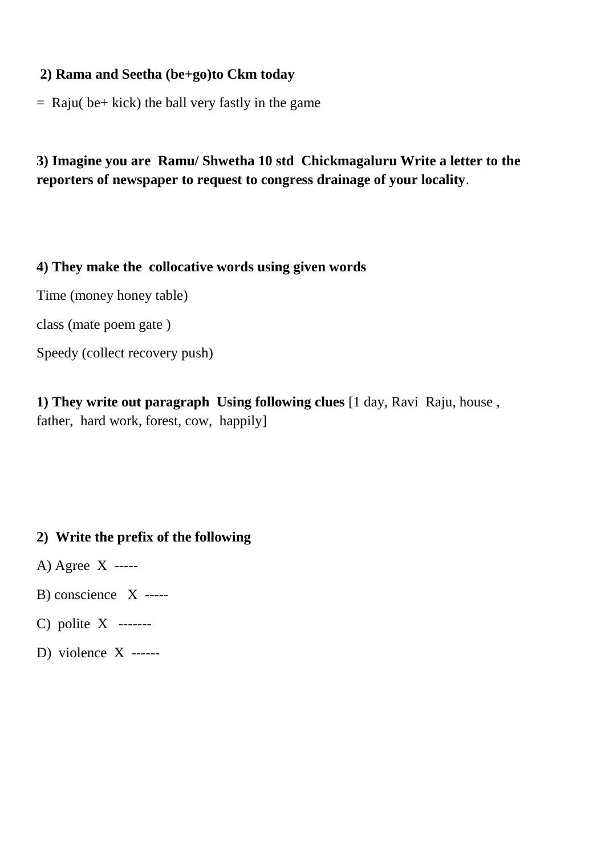#### **2) Rama and Seetha (be+go)to Ckm today**

 $=$  Raju( be  $+$  kick) the ball very fastly in the game

## **3) Imagine you are Ramu/ Shwetha 10 std Chickmagaluru Write a letter to the reporters of newspaper to request to congress drainage of your locality**.

#### **4) They make the collocative words using given words**

Time (money honey table)

class (mate poem gate )

Speedy (collect recovery push)

**1) They write out paragraph Using following clues** [1 day, Ravi Raju, house , father, hard work, forest, cow, happily]

#### **2) Write the prefix of the following**

- A) Agree X -----
- B) conscience X -----
- C) polite X -------
- D) violence X ------